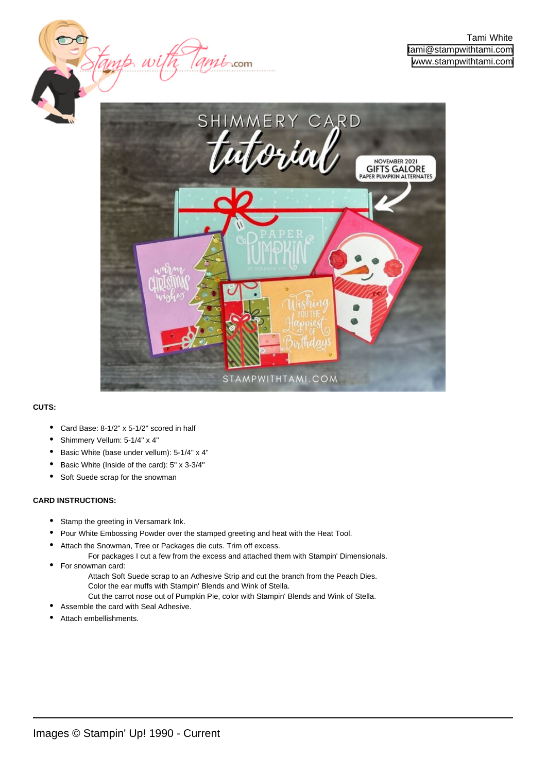



## **CUTS:**

- Card Base: 8-1/2" x 5-1/2" scored in half
- Shimmery Vellum: 5-1/4" x 4"
- Basic White (base under vellum): 5-1/4" x 4"
- Basic White (Inside of the card): 5" x 3-3/4"
- Soft Suede scrap for the snowman

## **CARD INSTRUCTIONS:**

•

- Stamp the greeting in Versamark Ink.
- Pour White Embossing Powder over the stamped greeting and heat with the Heat Tool.
- Attach the Snowman, Tree or Packages die cuts. Trim off excess. •
	- For packages I cut a few from the excess and attached them with Stampin' Dimensionals. For snowman card:
		- Attach Soft Suede scrap to an Adhesive Strip and cut the branch from the Peach Dies. Color the ear muffs with Stampin' Blends and Wink of Stella.
		- Cut the carrot nose out of Pumpkin Pie, color with Stampin' Blends and Wink of Stella.
- Assemble the card with Seal Adhesive.
- Attach embellishments.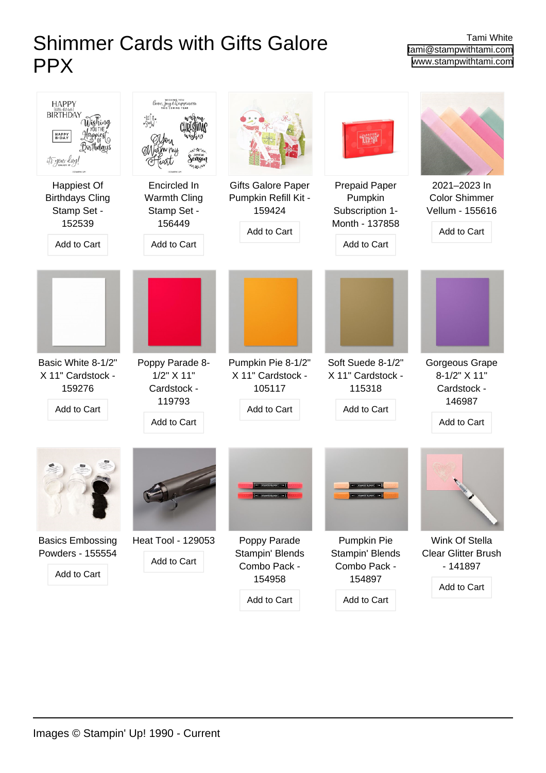## Shimmer Cards with Gifts Galore PPX

Tami White [tami@stampwithtami.com](mailto:tami@stampwithtami.com) [www.stampwithtami.com](http://www.stampwithtami.com)

| $HAPPY$ (tättte-bät-teite)<br><b>BIRTHDAY</b><br>HAPPY<br>B-DAY<br>rpiesi<br>Dirthdays<br>it's your day! | love, Joy Ehappines<br>$-10^{16}$<br>season                                |                                                                            |                                                                                     |                                                                        |
|----------------------------------------------------------------------------------------------------------|----------------------------------------------------------------------------|----------------------------------------------------------------------------|-------------------------------------------------------------------------------------|------------------------------------------------------------------------|
| Happiest Of<br><b>Birthdays Cling</b><br>Stamp Set -<br>152539<br>Add to Cart                            | Encircled In<br>Warmth Cling<br>Stamp Set -<br>156449<br>Add to Cart       | <b>Gifts Galore Paper</b><br>Pumpkin Refill Kit -<br>159424<br>Add to Cart | <b>Prepaid Paper</b><br>Pumpkin<br>Subscription 1-<br>Month - 137858<br>Add to Cart | 2021-2023 In<br><b>Color Shimmer</b><br>Vellum - 155616<br>Add to Cart |
|                                                                                                          |                                                                            |                                                                            |                                                                                     |                                                                        |
| Basic White 8-1/2"<br>X 11" Cardstock -<br>159276<br>Add to Cart                                         | Poppy Parade 8-<br>$1/2$ " $X$ 11"<br>Cardstock -<br>119793<br>Add to Cart | Pumpkin Pie 8-1/2"<br>X 11" Cardstock -<br>105117<br>Add to Cart           | Soft Suede 8-1/2"<br>X 11" Cardstock -<br>115318<br>Add to Cart                     | Gorgeous Grape<br>8-1/2" X 11"<br>Cardstock -<br>146987<br>Add to Cart |
|                                                                                                          |                                                                            |                                                                            |                                                                                     |                                                                        |
| <b>Basics Embossing</b><br>Powders - 155554<br>Add to Cart                                               | <b>Heat Tool - 129053</b><br>Add to Cart                                   | Poppy Parade<br>Stampin' Blends<br>Combo Pack -<br>154958                  | Pumpkin Pie<br>Stampin' Blends<br>Combo Pack -<br>154897                            | Wink Of Stella<br>Clear Glitter Brush<br>$-141897$<br>Add to Cart      |
|                                                                                                          |                                                                            | Add to Cart                                                                | Add to Cart                                                                         |                                                                        |